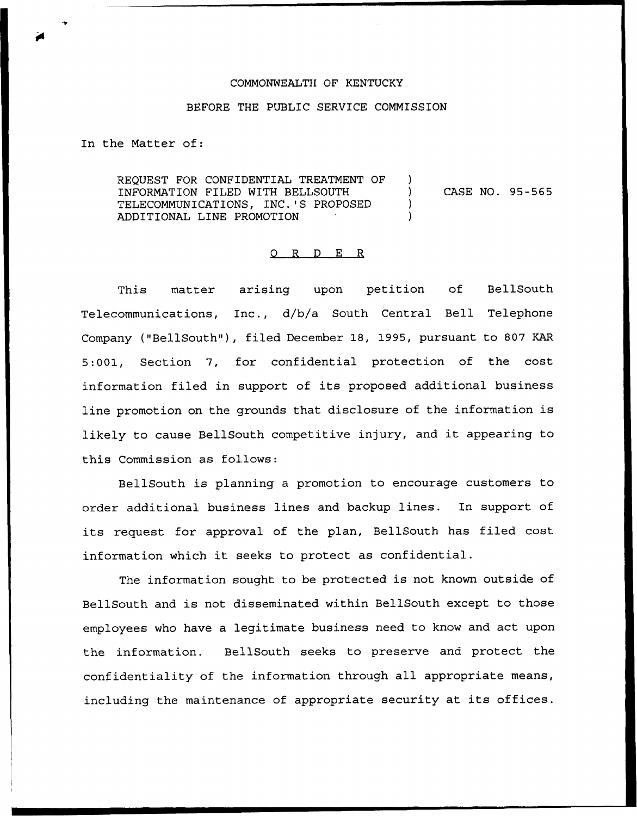## COMMONWEALTH OF KENTUCKY

## BEFORE THE PUBLIC SERVICE COMMISSION

In the Matter of:

REQUEST FOR CONFIDENTIAL TREATMENT OF ) INFORMATION FILED WITH BELLSOUTH ) TELECOMMUNICATIONS, INC.'S PROPOSED ) ADDITIONAL LINE PROMOTION ) CASE NO. 95-565

## 0 R <sup>D</sup> E R

This matter arising upon petition of BellSouth Telecommunications, Inc., d/b/a South Central Bell Telephone Company ("BellSouth"), filed December 18, 1995, pursuant to 807 KAR 5:001, Section 7, for confidential protection of the cost information filed in support of its proposed additional business line promotion on the grounds that disclosure of the information is likely to cause BellSouth competitive injury, and it appearing to this Commission as follows:

BellSouth is planning a promotion to encourage customers to order additional business lines and backup lines. In support of its request for approval of the plan, BellSouth has filed cost information which it seeks to protect as confidential.

The information sought to be protected is not known outside of BellSouth and is not disseminated within BellSouth except to those employees who have a legitimate business need to know and act upon the information. BellSouth seeks to preserve and protect the confidentiality of the information through all appropriate means, including the maintenance of appropriate security at its offices.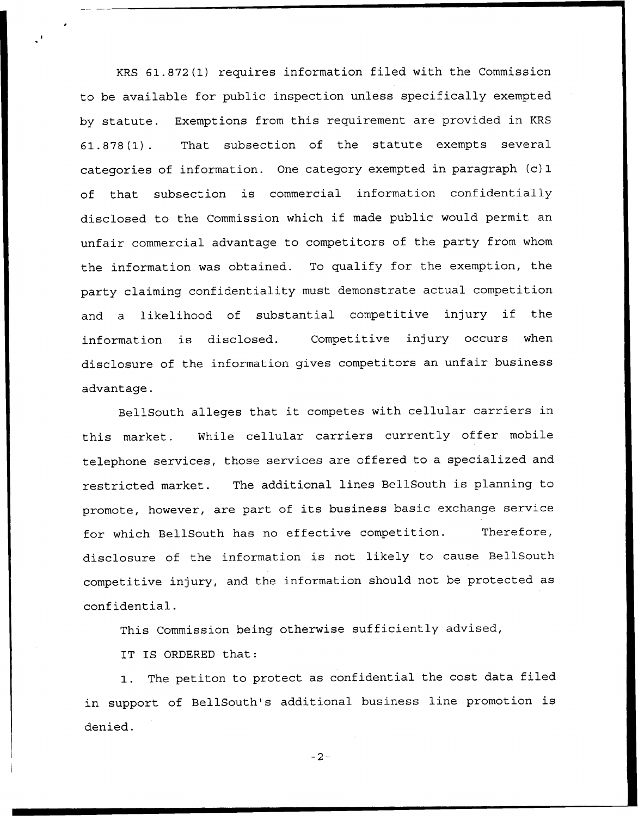KRS 61.872(1) requires information filed with the Commission to be available for public inspection unless specifically exempted by statute. Exemptions from this requirement are provided in KRS 61.878(1). That subsection of the statute exempts several categories of information. One category exempted in paragraph (c) 1 of that subsection is commercial information confidentially disclosed to the Commission which if made public would permit an unfair commercial advantage to competitors of the party from whom the information was obtained. To qualify for the exemption, the party claiming confidentiality must demonstrate actual competition and <sup>a</sup> likelihood of substantial competitive injury if the information is disclosed. Competitive injury occurs when disclosure of the information gives competitors an unfair business advantage.

BellSouth alleges that it competes with cellular carriers in this market. While cellular carriers currently offer mobile telephone services, those services are offered to a specialized and restricted market. The additional lines BellSouth is planning to promote, however, are part of its business basic exchange service for which BellSouth has no effective competition. Therefore, disclosure of the information is not likely to cause BellSouth competitive injury, and the information should not be protected as confidential.

This Commission being otherwise sufficiently advised,

IT IS ORDERED that:

1. The petiton to protect as confidential the cost data filed in support of BellSouth's additional business line promotion is denied.

 $-2-$